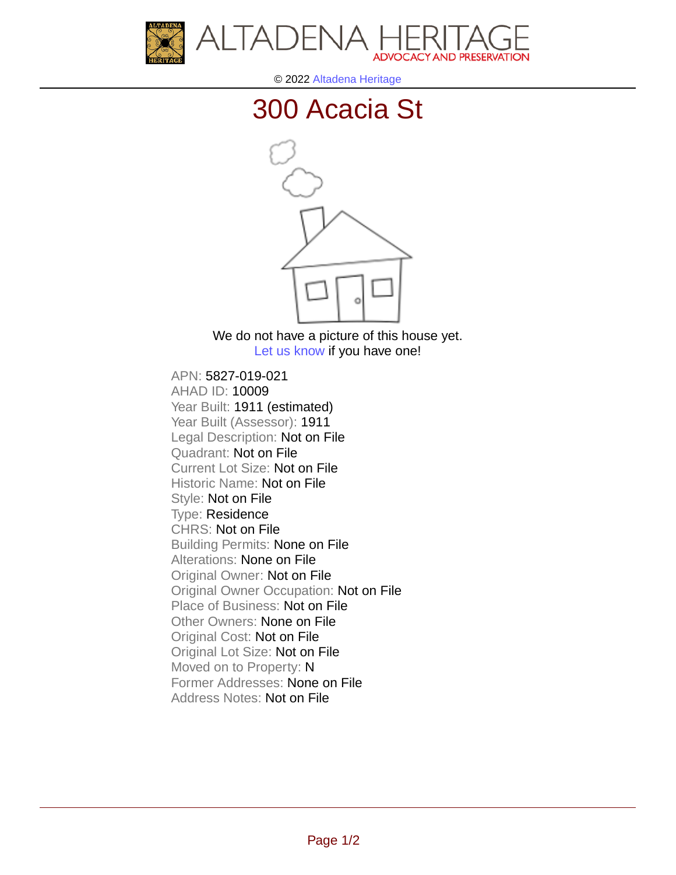



© 2022 [Altadena Heritage](http://altadenaheritage.org/)

## [300 Acacia St](ahad.altadenaheritagepdb.org/properties/10009)



We do not have a picture of this house yet. [Let us know](http://altadenaheritage.org/contact-us/) if you have one!

APN: 5827-019-021 [AHAD ID: 10009](ahad.altadenaheritagepdb.org/properties/10009) Year Built: 1911 (estimated) Year Built (Assessor): 1911 Legal Description: Not on File Quadrant: Not on File Current Lot Size: Not on File Historic Name: Not on File Style: Not on File Type: Residence CHRS: Not on File Building Permits: None on File Alterations: None on File Original Owner: Not on File Original Owner Occupation: Not on File Place of Business: Not on File Other Owners: None on File Original Cost: Not on File Original Lot Size: Not on File Moved on to Property: N Former Addresses: None on File Address Notes: Not on File